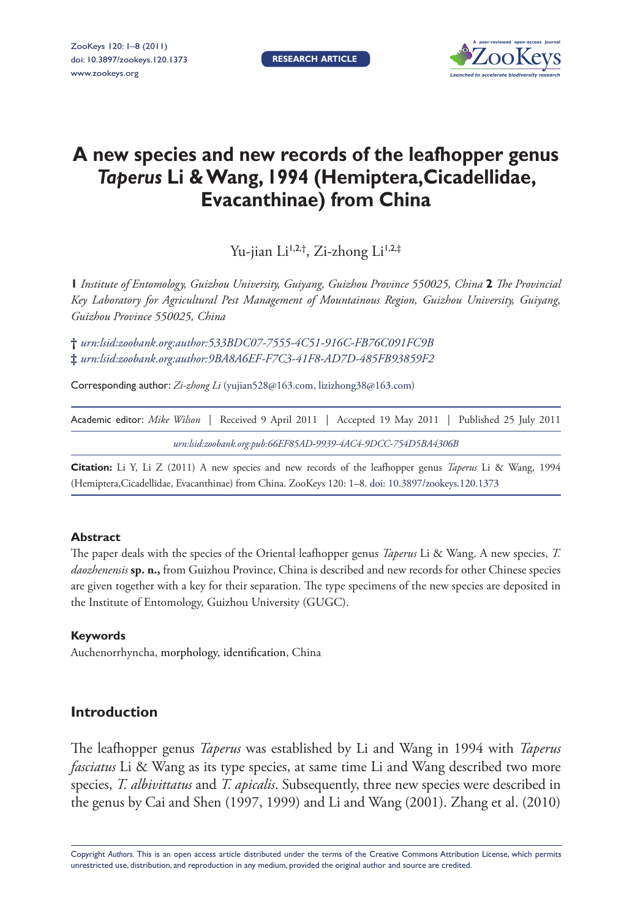**Research article**



# **A new species and new records of the leafhopper genus** *Taperus* **Li & Wang, 1994 (Hemiptera,Cicadellidae, Evacanthinae) from China**

Yu-jian Li<sup>1,2,†</sup>, Zi-zhong Li<sup>1,2,‡</sup>

**1** *Institute of Entomology, Guizhou University, Guiyang, Guizhou Province 550025, China* **2** *The Provincial Key Laboratory for Agricultural Pest Management of Mountainous Region, Guizhou University, Guiyang, Guizhou Province 550025, China*

**†** *urn:lsid:zoobank.org:author:533BDC07-7555-4C51-916C-FB76C091FC9B* **‡** *urn:lsid:zoobank.org:author:9BA8A6EF-F7C3-41F8-AD7D-485FB93859F2*

Corresponding author: *Zi-zhong Li* (yujian528@163.com, lizizhong38@163.com)

| Academic editor: Mike Wilson   Received 9 April 2011   Accepted 19 May 2011   Published 25 July 2011 |                                                               |  |  |  |  |  |
|------------------------------------------------------------------------------------------------------|---------------------------------------------------------------|--|--|--|--|--|
|                                                                                                      | urn:lsid:zoobank.org:pub:66EF85AD-9939-4AC4-9DCC-754D5BA4306B |  |  |  |  |  |

**Citation:** Li Y, Li Z (2011) A new species and new records of the leafhopper genus *Taperus* Li & Wang, 1994 (Hemiptera,Cicadellidae, Evacanthinae) from China. ZooKeys 120: 1–8. doi: 10.3897/zookeys.120.1373

# **Abstract**

The paper deals with the species of the Oriental leafhopper genus *Taperus* Li & Wang. A new species, *T. daozhenensis* **sp. n.,** from Guizhou Province, China is described and new records for other Chinese species are given together with a key for their separation. The type specimens of the new species are deposited in the Institute of Entomology, Guizhou University (GUGC).

#### **Keywords**

Auchenorrhyncha, morphology, identification, China

# **Introduction**

The leafhopper genus *Taperus* was established by Li and Wang in 1994 with *Taperus fasciatus* Li & Wang as its type species, at same time Li and Wang described two more species, *T. albivittatus* and *T. apicalis*. Subsequently, three new species were described in the genus by Cai and Shen (1997, 1999) and Li and Wang (2001). Zhang et al. (2010)

Copyright *Authors.* This is an open access article distributed under the terms of the Creative Commons Attribution License, which permits unrestricted use, distribution, and reproduction in any medium, provided the original author and source are credited.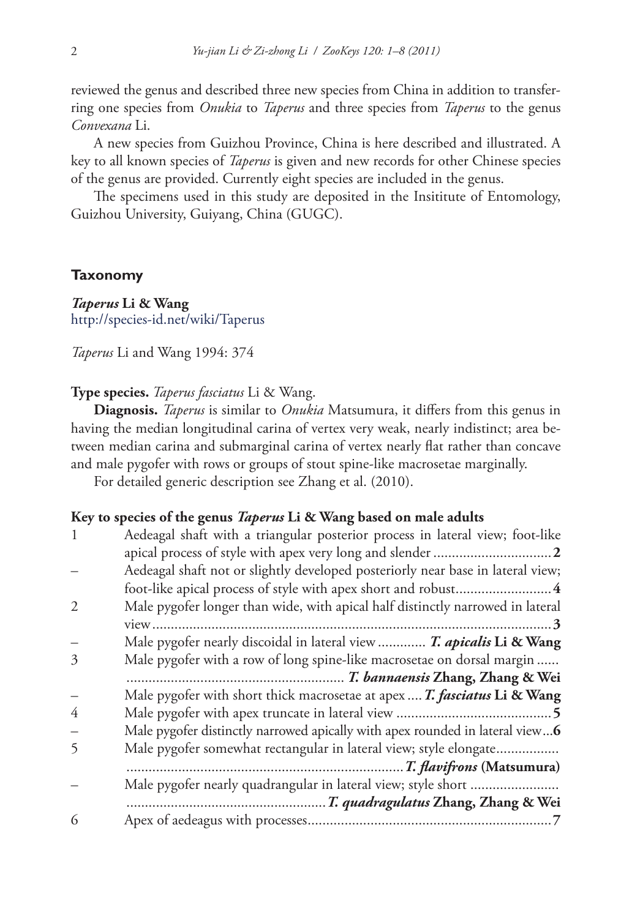reviewed the genus and described three new species from China in addition to transferring one species from *Onukia* to *Taperus* and three species from *Taperus* to the genus *Convexana* Li.

A new species from Guizhou Province, China is here described and illustrated. A key to all known species of *Taperus* is given and new records for other Chinese species of the genus are provided. Currently eight species are included in the genus.

The specimens used in this study are deposited in the Insititute of Entomology, Guizhou University, Guiyang, China (GUGC).

#### **Taxonomy**

*Taperus* **Li & Wang** http://species-id.net/wiki/Taperus

*Taperus* Li and Wang 1994: 374

#### **Type species.** *Taperus fasciatus* Li & Wang.

**Diagnosis.** *Taperus* is similar to *Onukia* Matsumura, it differs from this genus in having the median longitudinal carina of vertex very weak, nearly indistinct; area between median carina and submarginal carina of vertex nearly flat rather than concave and male pygofer with rows or groups of stout spine-like macrosetae marginally.

For detailed generic description see Zhang et al. (2010).

#### **Key to species of the genus** *Taperus* **Li & Wang based on male adults**

|               | Aedeagal shaft with a triangular posterior process in lateral view; foot-like   |
|---------------|---------------------------------------------------------------------------------|
|               |                                                                                 |
|               | Aedeagal shaft not or slightly developed posteriorly near base in lateral view; |
|               |                                                                                 |
|               | Male pygofer longer than wide, with apical half distinctly narrowed in lateral  |
|               | $\dots 3$                                                                       |
|               | Male pygofer nearly discoidal in lateral view  T. apicalis Li & Wang            |
| $\mathcal{Z}$ | Male pygofer with a row of long spine-like macrosetae on dorsal margin          |
|               |                                                                                 |
|               | Male pygofer with short thick macrosetae at apex  T. fasciatus Li & Wang        |
| 4             |                                                                                 |
|               | Male pygofer distinctly narrowed apically with apex rounded in lateral view6    |
|               | Male pygofer somewhat rectangular in lateral view; style elongate               |
|               |                                                                                 |
|               | Male pygofer nearly quadrangular in lateral view; style short                   |
|               |                                                                                 |
| 6             |                                                                                 |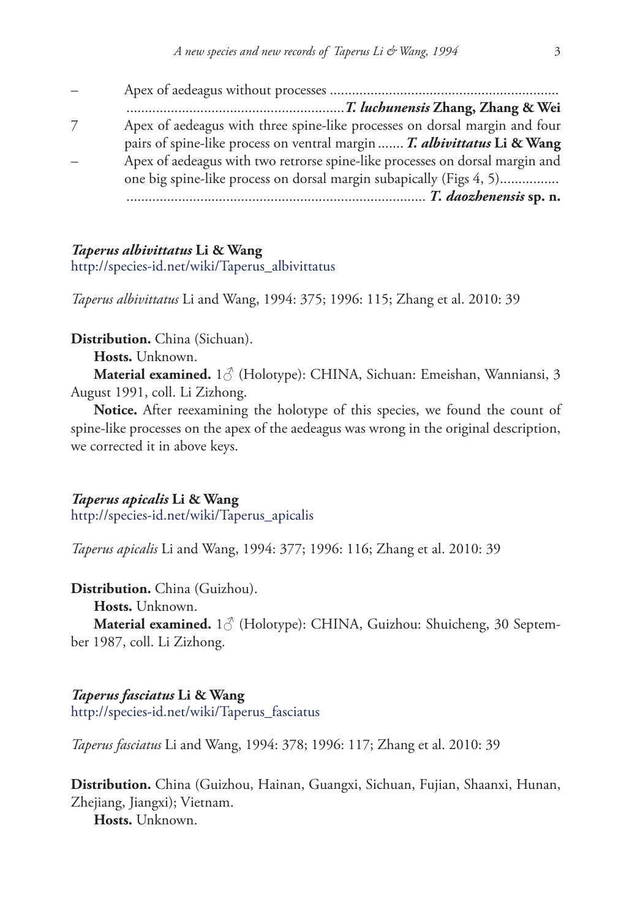| Apex of aedeagus with three spine-like processes on dorsal margin and four   |
|------------------------------------------------------------------------------|
| pairs of spine-like process on ventral margin  T. albivittatus Li & Wang     |
| Apex of aedeagus with two retrorse spine-like processes on dorsal margin and |
| one big spine-like process on dorsal margin subapically (Figs 4, 5)          |
|                                                                              |

#### *Taperus albivittatus* **Li & Wang**

http://species-id.net/wiki/Taperus\_albivittatus

*Taperus albivittatus* Li and Wang, 1994: 375; 1996: 115; Zhang et al. 2010: 39

**Distribution.** China (Sichuan).

**Hosts.** Unknown.

**Material examined.** 1♂ (Holotype): CHINA, Sichuan: Emeishan, Wanniansi, 3 August 1991, coll. Li Zizhong.

**Notice.** After reexamining the holotype of this species, we found the count of spine-like processes on the apex of the aedeagus was wrong in the original description, we corrected it in above keys.

*Taperus apicalis* **Li & Wang**

http://species-id.net/wiki/Taperus\_apicalis

*Taperus apicalis* Li and Wang, 1994: 377; 1996: 116; Zhang et al. 2010: 39

**Distribution.** China (Guizhou).

**Hosts.** Unknown.

**Material examined.** 1♂ (Holotype): CHINA, Guizhou: Shuicheng, 30 September 1987, coll. Li Zizhong.

*Taperus fasciatus* **Li & Wang** http://species-id.net/wiki/Taperus\_fasciatus

*Taperus fasciatus* Li and Wang, 1994: 378; 1996: 117; Zhang et al. 2010: 39

**Distribution.** China (Guizhou, Hainan, Guangxi, Sichuan, Fujian, Shaanxi, Hunan, Zhejiang, Jiangxi); Vietnam.

**Hosts.** Unknown.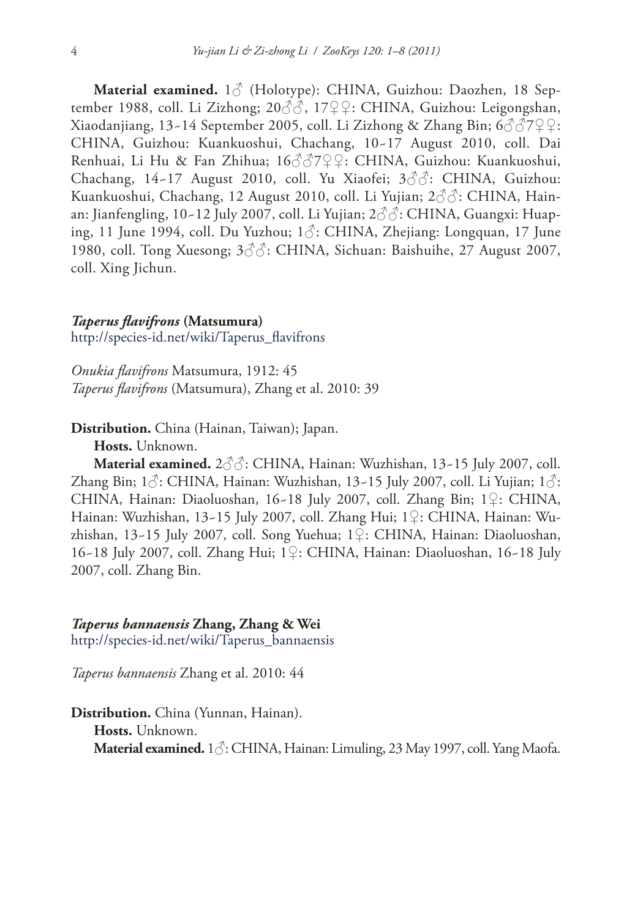**Material examined.** 1♂ (Holotype): CHINA, Guizhou: Daozhen, 18 September 1988, coll. Li Zizhong; 20♂♂, 17♀♀: CHINA, Guizhou: Leigongshan, Xiaodanjiang, 13~14 September 2005, coll. Li Zizhong & Zhang Bin;  $6\sqrt[3]{\sqrt[3]{2}}\mathcal{Q}$ : CHINA, Guizhou: Kuankuoshui, Chachang, 10~17 August 2010, coll. Dai Renhuai, Li Hu & Fan Zhihua; 16♂♂7♀♀: CHINA, Guizhou: Kuankuoshui, Chachang,  $14-17$  August 2010, coll. Yu Xiaofei;  $3\sqrt[3]{3}$ : CHINA, Guizhou: Kuankuoshui, Chachang, 12 August 2010, coll. Li Yujian; 2♂♂: CHINA, Hainan: Jianfengling, 10~12 July 2007, coll. Li Yujian; 2♂♂: CHINA, Guangxi: Huaping, 11 June 1994, coll. Du Yuzhou; 1♂: CHINA, Zhejiang: Longquan, 17 June 1980, coll. Tong Xuesong;  $3\textcircled{3}$ : CHINA, Sichuan: Baishuihe, 27 August 2007, coll. Xing Jichun.

#### *Taperus flavifrons* **(Matsumura)**

http://species-id.net/wiki/Taperus\_flavifrons

*Onukia flavifrons* Matsumura, 1912: 45 *Taperus flavifrons* (Matsumura), Zhang et al. 2010: 39

**Distribution.** China (Hainan, Taiwan); Japan.

**Hosts.** Unknown.

**Material examined.** 2♂♂: CHINA, Hainan: Wuzhishan, 13~15 July 2007, coll. Zhang Bin;  $1\hat{\circ}$ : CHINA, Hainan: Wuzhishan,  $13-15$  July 2007, coll. Li Yujian;  $1\hat{\circ}$ : CHINA, Hainan: Diaoluoshan, 16~18 July 2007, coll. Zhang Bin; 1♀: CHINA, Hainan: Wuzhishan, 13~15 July 2007, coll. Zhang Hui; 1♀: CHINA, Hainan: Wuzhishan, 13~15 July 2007, coll. Song Yuehua; 1♀: CHINA, Hainan: Diaoluoshan, 16~18 July 2007, coll. Zhang Hui; 1♀: CHINA, Hainan: Diaoluoshan, 16~18 July 2007, coll. Zhang Bin.

*Taperus bannaensis* **Zhang, Zhang & Wei**

http://species-id.net/wiki/Taperus\_bannaensis

*Taperus bannaensis* Zhang et al. 2010: 44

**Distribution.** China (Yunnan, Hainan). **Hosts.** Unknown. **Material examined.** 1♂: CHINA, Hainan: Limuling, 23 May 1997, coll. Yang Maofa.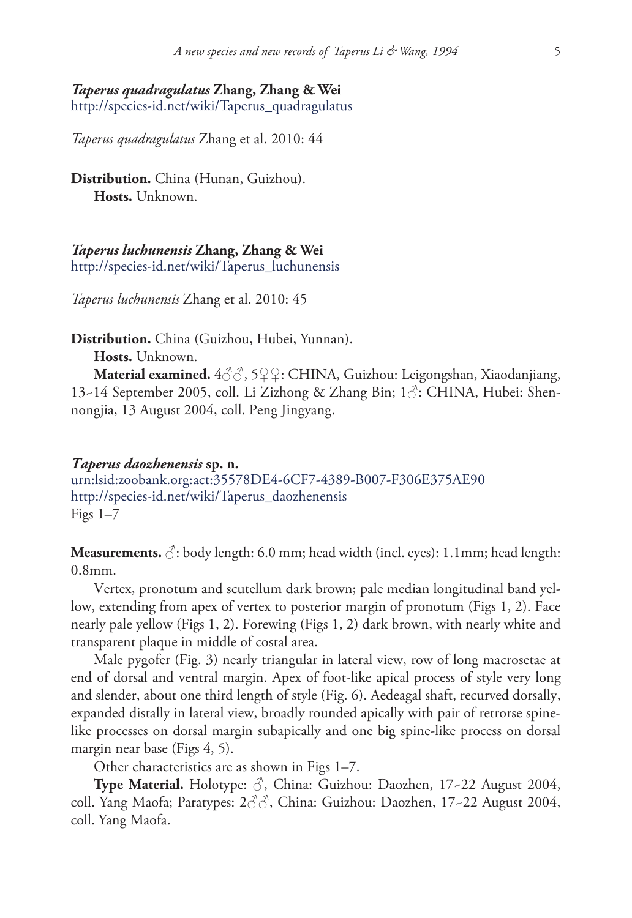# *Taperus quadragulatus* **Zhang, Zhang & Wei**

http://species-id.net/wiki/Taperus\_quadragulatus

*Taperus quadragulatus* Zhang et al. 2010: 44

**Distribution.** China (Hunan, Guizhou). **Hosts.** Unknown.

*Taperus luchunensis* **Zhang, Zhang & Wei** http://species-id.net/wiki/Taperus\_luchunensis

*Taperus luchunensis* Zhang et al. 2010: 45

**Distribution.** China (Guizhou, Hubei, Yunnan).

**Hosts.** Unknown.

**Material examined.** 4♂♂, 5♀♀: CHINA, Guizhou: Leigongshan, Xiaodanjiang, 13~14 September 2005, coll. Li Zizhong & Zhang Bin; 1♂: CHINA, Hubei: Shennongjia, 13 August 2004, coll. Peng Jingyang.

#### *Taperus daozhenensis* **sp. n.**

urn:lsid:zoobank.org:act:35578DE4-6CF7-4389-B007-F306E375AE90 http://species-id.net/wiki/Taperus\_daozhenensis Figs  $1-7$ 

**Measurements.**  $\Diamond$ : body length: 6.0 mm; head width (incl. eyes): 1.1mm; head length: 0.8mm.

Vertex, pronotum and scutellum dark brown; pale median longitudinal band yellow, extending from apex of vertex to posterior margin of pronotum (Figs 1, 2). Face nearly pale yellow (Figs 1, 2). Forewing (Figs 1, 2) dark brown, with nearly white and transparent plaque in middle of costal area.

Male pygofer (Fig. 3) nearly triangular in lateral view, row of long macrosetae at end of dorsal and ventral margin. Apex of foot-like apical process of style very long and slender, about one third length of style (Fig. 6). Aedeagal shaft, recurved dorsally, expanded distally in lateral view, broadly rounded apically with pair of retrorse spinelike processes on dorsal margin subapically and one big spine-like process on dorsal margin near base (Figs 4, 5).

Other characteristics are as shown in Figs 1–7.

**Type Material.** Holotype: ♂, China: Guizhou: Daozhen, 17~22 August 2004, coll. Yang Maofa; Paratypes: 2♂♂, China: Guizhou: Daozhen, 17~22 August 2004, coll. Yang Maofa.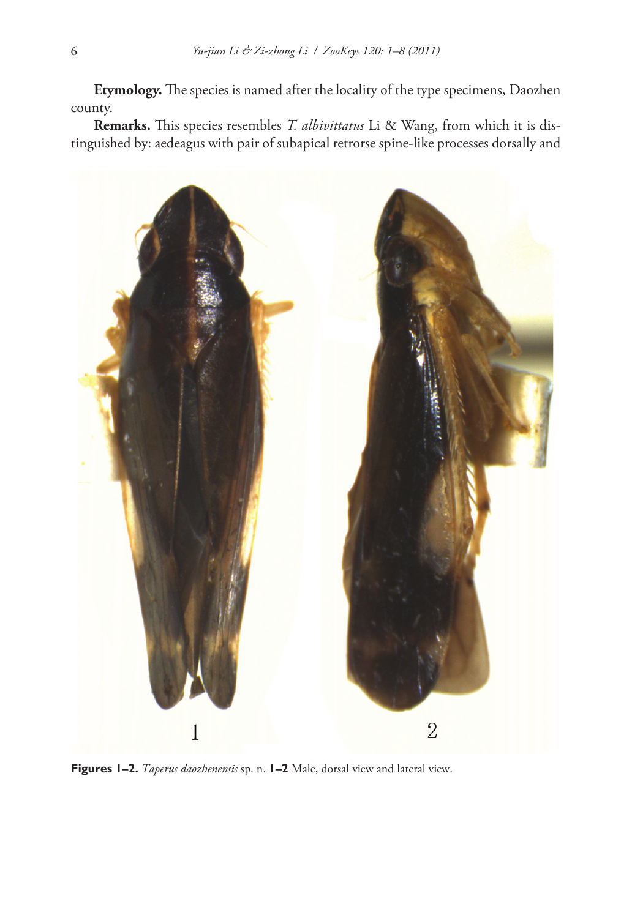**Etymology.** The species is named after the locality of the type specimens, Daozhen county.

**Remarks.** This species resembles *T. albivittatus* Li & Wang, from which it is distinguished by: aedeagus with pair of subapical retrorse spine-like processes dorsally and



**Figures 1–2.** *Taperus daozhenensis* sp. n. **1–2** Male, dorsal view and lateral view.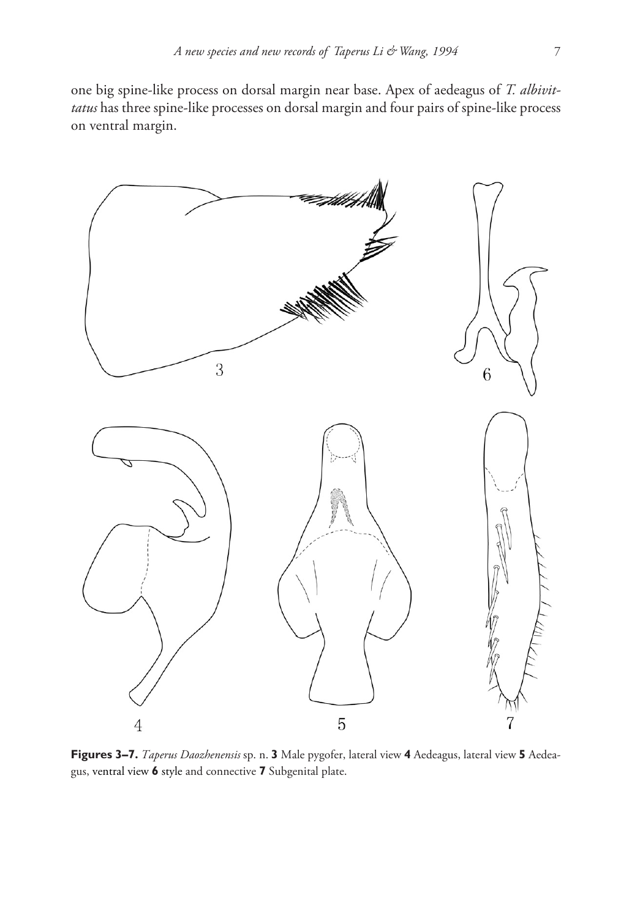one big spine-like process on dorsal margin near base. Apex of aedeagus of *T. albivittatus* has three spine-like processes on dorsal margin and four pairs of spine-like process on ventral margin.



**Figures 3–7.** *Taperus Daozhenensis* sp. n. **3** Male pygofer, lateral view **4** Aedeagus, lateral view **5** Aedeagus, ventral view **6** style and connective **7** Subgenital plate.